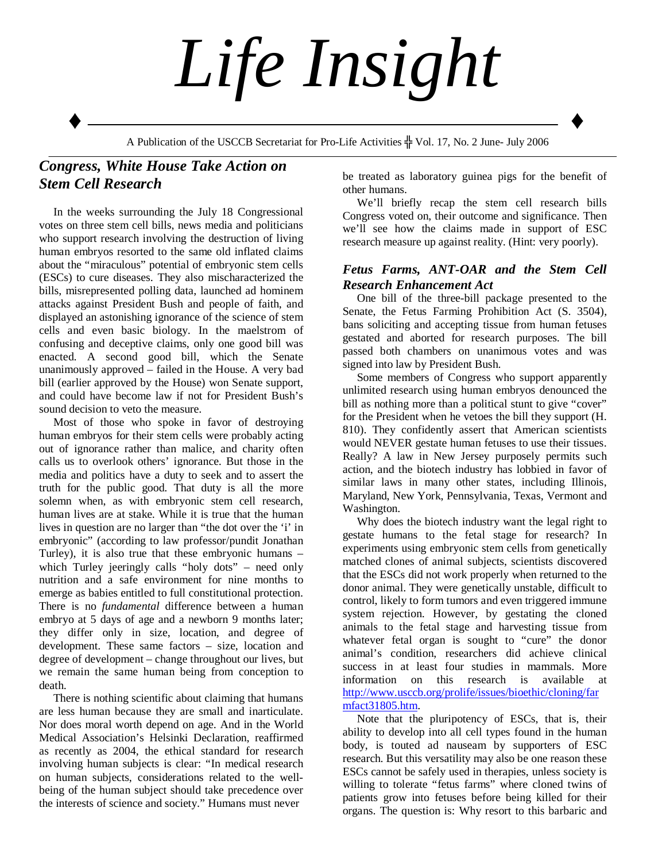

## *Congress, White House Take Action on Stem Cell Research*

 In the weeks surrounding the July 18 Congressional votes on three stem cell bills, news media and politicians who support research involving the destruction of living human embryos resorted to the same old inflated claims about the "miraculous" potential of embryonic stem cells (ESCs) to cure diseases. They also mischaracterized the bills, misrepresented polling data, launched ad hominem attacks against President Bush and people of faith, and displayed an astonishing ignorance of the science of stem cells and even basic biology. In the maelstrom of confusing and deceptive claims, only one good bill was enacted. A second good bill, which the Senate unanimously approved – failed in the House. A very bad bill (earlier approved by the House) won Senate support, and could have become law if not for President Bush's sound decision to veto the measure.

 Most of those who spoke in favor of destroying human embryos for their stem cells were probably acting out of ignorance rather than malice, and charity often calls us to overlook others' ignorance. But those in the media and politics have a duty to seek and to assert the truth for the public good. That duty is all the more solemn when, as with embryonic stem cell research, human lives are at stake. While it is true that the human lives in question are no larger than "the dot over the 'i' in embryonic" (according to law professor/pundit Jonathan Turley), it is also true that these embryonic humans – which Turley jeeringly calls "holy dots" – need only nutrition and a safe environment for nine months to emerge as babies entitled to full constitutional protection. There is no *fundamental* difference between a human embryo at 5 days of age and a newborn 9 months later; they differ only in size, location, and degree of development. These same factors – size, location and degree of development – change throughout our lives, but we remain the same human being from conception to death.

 There is nothing scientific about claiming that humans are less human because they are small and inarticulate. Nor does moral worth depend on age. And in the World Medical Association's Helsinki Declaration, reaffirmed as recently as 2004, the ethical standard for research involving human subjects is clear: "In medical research on human subjects, considerations related to the wellbeing of the human subject should take precedence over the interests of science and society." Humans must never

be treated as laboratory guinea pigs for the benefit of other humans.

 We'll briefly recap the stem cell research bills Congress voted on, their outcome and significance. Then we'll see how the claims made in support of ESC research measure up against reality. (Hint: very poorly).

## *Fetus Farms, ANT-OAR and the Stem Cell Research Enhancement Act*

 One bill of the three-bill package presented to the Senate, the Fetus Farming Prohibition Act (S. 3504), bans soliciting and accepting tissue from human fetuses gestated and aborted for research purposes. The bill passed both chambers on unanimous votes and was signed into law by President Bush.

 Some members of Congress who support apparently unlimited research using human embryos denounced the bill as nothing more than a political stunt to give "cover" for the President when he vetoes the bill they support (H. 810). They confidently assert that American scientists would NEVER gestate human fetuses to use their tissues. Really? A law in New Jersey purposely permits such action, and the biotech industry has lobbied in favor of similar laws in many other states, including Illinois, Maryland, New York, Pennsylvania, Texas, Vermont and Washington.

 Why does the biotech industry want the legal right to gestate humans to the fetal stage for research? In experiments using embryonic stem cells from genetically matched clones of animal subjects, scientists discovered that the ESCs did not work properly when returned to the donor animal. They were genetically unstable, difficult to control, likely to form tumors and even triggered immune system rejection. However, by gestating the cloned animals to the fetal stage and harvesting tissue from whatever fetal organ is sought to "cure" the donor animal's condition, researchers did achieve clinical success in at least four studies in mammals. More information on this research is available at http://www.usccb.org/prolife/issues/bioethic/cloning/far mfact31805.htm.

 Note that the pluripotency of ESCs, that is, their ability to develop into all cell types found in the human body, is touted ad nauseam by supporters of ESC research. But this versatility may also be one reason these ESCs cannot be safely used in therapies, unless society is willing to tolerate "fetus farms" where cloned twins of patients grow into fetuses before being killed for their organs. The question is: Why resort to this barbaric and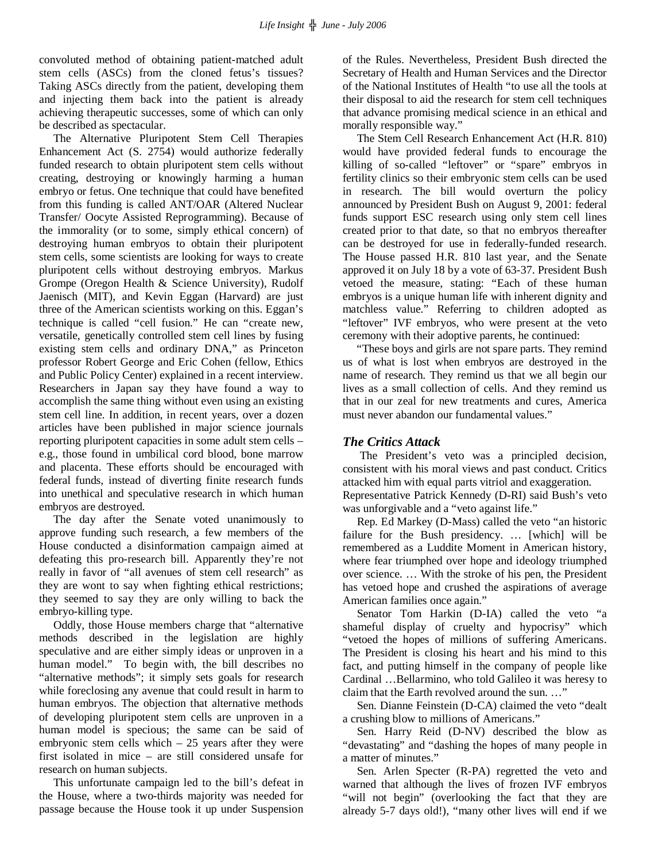convoluted method of obtaining patient-matched adult stem cells (ASCs) from the cloned fetus's tissues? Taking ASCs directly from the patient, developing them and injecting them back into the patient is already achieving therapeutic successes, some of which can only be described as spectacular.

 The Alternative Pluripotent Stem Cell Therapies Enhancement Act (S. 2754) would authorize federally funded research to obtain pluripotent stem cells without creating, destroying or knowingly harming a human embryo or fetus. One technique that could have benefited from this funding is called ANT/OAR (Altered Nuclear Transfer/ Oocyte Assisted Reprogramming). Because of the immorality (or to some, simply ethical concern) of destroying human embryos to obtain their pluripotent stem cells, some scientists are looking for ways to create pluripotent cells without destroying embryos. Markus Grompe (Oregon Health & Science University), Rudolf Jaenisch (MIT), and Kevin Eggan (Harvard) are just three of the American scientists working on this. Eggan's technique is called "cell fusion." He can "create new, versatile, genetically controlled stem cell lines by fusing existing stem cells and ordinary DNA," as Princeton professor Robert George and Eric Cohen (fellow, Ethics and Public Policy Center) explained in a recent interview. Researchers in Japan say they have found a way to accomplish the same thing without even using an existing stem cell line. In addition, in recent years, over a dozen articles have been published in major science journals reporting pluripotent capacities in some adult stem cells – e.g., those found in umbilical cord blood, bone marrow and placenta. These efforts should be encouraged with federal funds, instead of diverting finite research funds into unethical and speculative research in which human embryos are destroyed.

 The day after the Senate voted unanimously to approve funding such research, a few members of the House conducted a disinformation campaign aimed at defeating this pro-research bill. Apparently they're not really in favor of "all avenues of stem cell research" as they are wont to say when fighting ethical restrictions; they seemed to say they are only willing to back the embryo-killing type.

 Oddly, those House members charge that "alternative methods described in the legislation are highly speculative and are either simply ideas or unproven in a human model." To begin with, the bill describes no "alternative methods"; it simply sets goals for research while foreclosing any avenue that could result in harm to human embryos. The objection that alternative methods of developing pluripotent stem cells are unproven in a human model is specious; the same can be said of embryonic stem cells which  $-25$  years after they were first isolated in mice – are still considered unsafe for research on human subjects.

 This unfortunate campaign led to the bill's defeat in the House, where a two-thirds majority was needed for passage because the House took it up under Suspension

of the Rules. Nevertheless, President Bush directed the Secretary of Health and Human Services and the Director of the National Institutes of Health "to use all the tools at their disposal to aid the research for stem cell techniques that advance promising medical science in an ethical and morally responsible way."

 The Stem Cell Research Enhancement Act (H.R. 810) would have provided federal funds to encourage the killing of so-called "leftover" or "spare" embryos in fertility clinics so their embryonic stem cells can be used in research. The bill would overturn the policy announced by President Bush on August 9, 2001: federal funds support ESC research using only stem cell lines created prior to that date, so that no embryos thereafter can be destroyed for use in federally-funded research. The House passed H.R. 810 last year, and the Senate approved it on July 18 by a vote of 63-37. President Bush vetoed the measure, stating: "Each of these human embryos is a unique human life with inherent dignity and matchless value." Referring to children adopted as "leftover" IVF embryos, who were present at the veto ceremony with their adoptive parents, he continued:

 "These boys and girls are not spare parts. They remind us of what is lost when embryos are destroyed in the name of research. They remind us that we all begin our lives as a small collection of cells. And they remind us that in our zeal for new treatments and cures, America must never abandon our fundamental values."

## *The Critics Attack*

 The President's veto was a principled decision, consistent with his moral views and past conduct. Critics attacked him with equal parts vitriol and exaggeration. Representative Patrick Kennedy (D-RI) said Bush's veto was unforgivable and a "veto against life."

 Rep. Ed Markey (D-Mass) called the veto "an historic failure for the Bush presidency. … [which] will be remembered as a Luddite Moment in American history, where fear triumphed over hope and ideology triumphed over science. … With the stroke of his pen, the President has vetoed hope and crushed the aspirations of average American families once again."

 Senator Tom Harkin (D-IA) called the veto "a shameful display of cruelty and hypocrisy" which "vetoed the hopes of millions of suffering Americans. The President is closing his heart and his mind to this fact, and putting himself in the company of people like Cardinal …Bellarmino, who told Galileo it was heresy to claim that the Earth revolved around the sun. …"

 Sen. Dianne Feinstein (D-CA) claimed the veto "dealt a crushing blow to millions of Americans."

 Sen. Harry Reid (D-NV) described the blow as "devastating" and "dashing the hopes of many people in a matter of minutes."

 Sen. Arlen Specter (R-PA) regretted the veto and warned that although the lives of frozen IVF embryos "will not begin" (overlooking the fact that they are already 5-7 days old!), "many other lives will end if we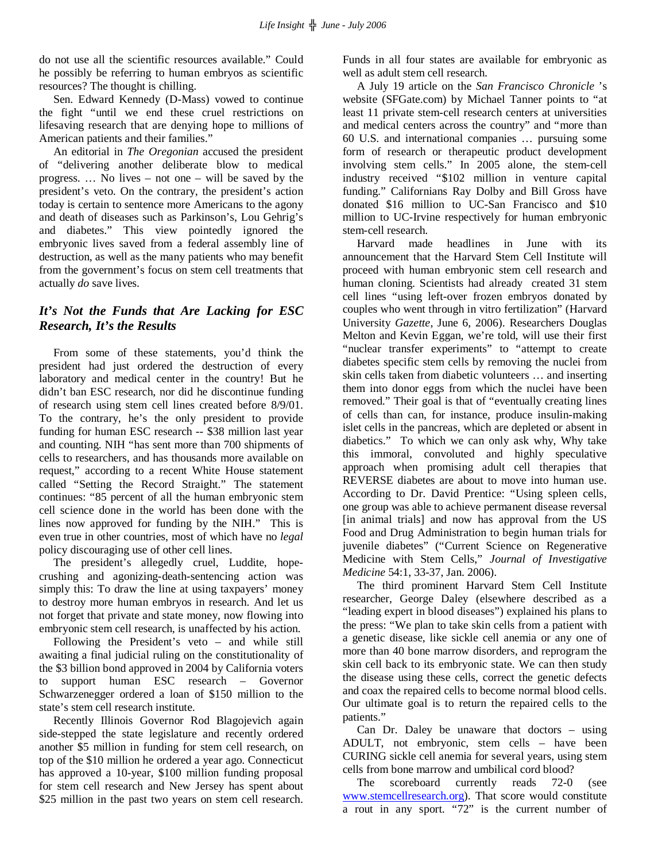do not use all the scientific resources available." Could he possibly be referring to human embryos as scientific resources? The thought is chilling.

 Sen. Edward Kennedy (D-Mass) vowed to continue the fight "until we end these cruel restrictions on lifesaving research that are denying hope to millions of American patients and their families."

 An editorial in *The Oregonian* accused the president of "delivering another deliberate blow to medical progress. … No lives – not one – will be saved by the president's veto. On the contrary, the president's action today is certain to sentence more Americans to the agony and death of diseases such as Parkinson's, Lou Gehrig's and diabetes." This view pointedly ignored the embryonic lives saved from a federal assembly line of destruction, as well as the many patients who may benefit from the government's focus on stem cell treatments that actually *do* save lives.

## *It's Not the Funds that Are Lacking for ESC Research, It's the Results*

 From some of these statements, you'd think the president had just ordered the destruction of every laboratory and medical center in the country! But he didn't ban ESC research, nor did he discontinue funding of research using stem cell lines created before 8/9/01. To the contrary, he's the only president to provide funding for human ESC research -- \$38 million last year and counting. NIH "has sent more than 700 shipments of cells to researchers, and has thousands more available on request," according to a recent White House statement called "Setting the Record Straight." The statement continues: "85 percent of all the human embryonic stem cell science done in the world has been done with the lines now approved for funding by the NIH." This is even true in other countries, most of which have no *legal* policy discouraging use of other cell lines.

 The president's allegedly cruel, Luddite, hopecrushing and agonizing-death-sentencing action was simply this: To draw the line at using taxpayers' money to destroy more human embryos in research. And let us not forget that private and state money, now flowing into embryonic stem cell research, is unaffected by his action.

 Following the President's veto – and while still awaiting a final judicial ruling on the constitutionality of the \$3 billion bond approved in 2004 by California voters to support human ESC research – Governor Schwarzenegger ordered a loan of \$150 million to the state's stem cell research institute.

 Recently Illinois Governor Rod Blagojevich again side-stepped the state legislature and recently ordered another \$5 million in funding for stem cell research, on top of the \$10 million he ordered a year ago. Connecticut has approved a 10-year, \$100 million funding proposal for stem cell research and New Jersey has spent about \$25 million in the past two years on stem cell research.

Funds in all four states are available for embryonic as well as adult stem cell research.

 A July 19 article on the *San Francisco Chronicle* 's website (SFGate.com) by Michael Tanner points to "at least 11 private stem-cell research centers at universities and medical centers across the country" and "more than 60 U.S. and international companies … pursuing some form of research or therapeutic product development involving stem cells." In 2005 alone, the stem-cell industry received "\$102 million in venture capital funding." Californians Ray Dolby and Bill Gross have donated \$16 million to UC-San Francisco and \$10 million to UC-Irvine respectively for human embryonic stem-cell research.

 Harvard made headlines in June with its announcement that the Harvard Stem Cell Institute will proceed with human embryonic stem cell research and human cloning. Scientists had already created 31 stem cell lines "using left-over frozen embryos donated by couples who went through in vitro fertilization" (Harvard University *Gazette*, June 6, 2006). Researchers Douglas Melton and Kevin Eggan, we're told, will use their first "nuclear transfer experiments" to "attempt to create diabetes specific stem cells by removing the nuclei from skin cells taken from diabetic volunteers … and inserting them into donor eggs from which the nuclei have been removed." Their goal is that of "eventually creating lines of cells than can, for instance, produce insulin-making islet cells in the pancreas, which are depleted or absent in diabetics." To which we can only ask why, Why take this immoral, convoluted and highly speculative approach when promising adult cell therapies that REVERSE diabetes are about to move into human use. According to Dr. David Prentice: "Using spleen cells, one group was able to achieve permanent disease reversal [in animal trials] and now has approval from the US Food and Drug Administration to begin human trials for juvenile diabetes" ("Current Science on Regenerative Medicine with Stem Cells," *Journal of Investigative Medicine* 54:1, 33-37, Jan. 2006).

 The third prominent Harvard Stem Cell Institute researcher, George Daley (elsewhere described as a "leading expert in blood diseases") explained his plans to the press: "We plan to take skin cells from a patient with a genetic disease, like sickle cell anemia or any one of more than 40 bone marrow disorders, and reprogram the skin cell back to its embryonic state. We can then study the disease using these cells, correct the genetic defects and coax the repaired cells to become normal blood cells. Our ultimate goal is to return the repaired cells to the patients."

 Can Dr. Daley be unaware that doctors – using ADULT, not embryonic, stem cells – have been CURING sickle cell anemia for several years, using stem cells from bone marrow and umbilical cord blood?

 The scoreboard currently reads 72-0 (see www.stemcellresearch.org). That score would constitute a rout in any sport. "72" is the current number of